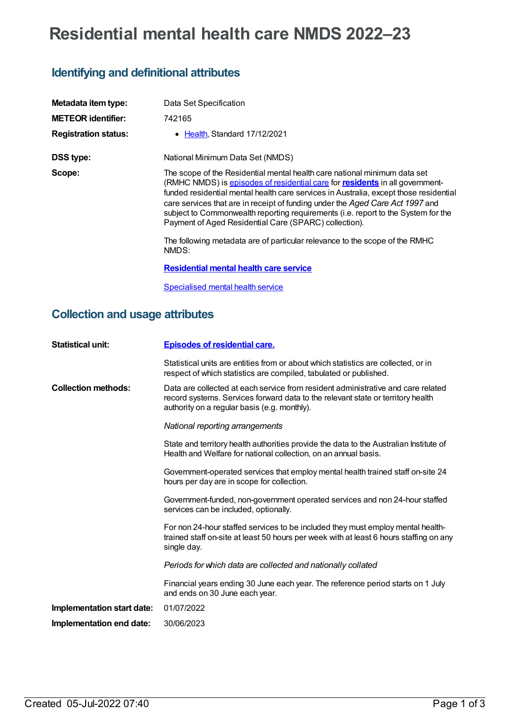# **Residential mental health care NMDS 2022–23**

## **Identifying and definitional attributes**

| Metadata item type:         | Data Set Specification                                                                                                                                                                                                                                                                                                                                                                                                                                                                                                                                                    |
|-----------------------------|---------------------------------------------------------------------------------------------------------------------------------------------------------------------------------------------------------------------------------------------------------------------------------------------------------------------------------------------------------------------------------------------------------------------------------------------------------------------------------------------------------------------------------------------------------------------------|
| <b>METEOR identifier:</b>   | 742165                                                                                                                                                                                                                                                                                                                                                                                                                                                                                                                                                                    |
| <b>Registration status:</b> | Health, Standard 17/12/2021                                                                                                                                                                                                                                                                                                                                                                                                                                                                                                                                               |
| <b>DSS type:</b>            | National Minimum Data Set (NMDS)                                                                                                                                                                                                                                                                                                                                                                                                                                                                                                                                          |
| Scope:                      | The scope of the Residential mental health care national minimum data set<br>(RMHC NMDS) is episodes of residential care for residents in all government-<br>funded residential mental health care services in Australia, except those residential<br>care services that are in receipt of funding under the Aged Care Act 1997 and<br>subject to Commonwealth reporting requirements (i.e. report to the System for the<br>Payment of Aged Residential Care (SPARC) collection).<br>The following metadata are of particular relevance to the scope of the RMHC<br>NMDS: |
|                             | <b>Residential mental health care service</b>                                                                                                                                                                                                                                                                                                                                                                                                                                                                                                                             |
|                             | Specialised mental health service                                                                                                                                                                                                                                                                                                                                                                                                                                                                                                                                         |

### **Collection and usage attributes**

| <b>Statistical unit:</b>   | <b>Episodes of residential care.</b>                                                                                                                                                                                |
|----------------------------|---------------------------------------------------------------------------------------------------------------------------------------------------------------------------------------------------------------------|
|                            | Statistical units are entities from or about which statistics are collected, or in<br>respect of which statistics are compiled, tabulated or published.                                                             |
| <b>Collection methods:</b> | Data are collected at each service from resident administrative and care related<br>record systems. Services forward data to the relevant state or territory health<br>authority on a regular basis (e.g. monthly). |
|                            | National reporting arrangements                                                                                                                                                                                     |
|                            | State and territory health authorities provide the data to the Australian Institute of<br>Health and Welfare for national collection, on an annual basis.                                                           |
|                            | Government-operated services that employ mental health trained staff on-site 24<br>hours per day are in scope for collection.                                                                                       |
|                            | Government-funded, non-government operated services and non 24-hour staffed<br>services can be included, optionally.                                                                                                |
|                            | For non 24-hour staffed services to be included they must employ mental health-<br>trained staff on-site at least 50 hours per week with at least 6 hours staffing on any<br>single day.                            |
|                            | Periods for which data are collected and nationally collated                                                                                                                                                        |
|                            | Financial years ending 30 June each year. The reference period starts on 1 July<br>and ends on 30 June each year.                                                                                                   |
| Implementation start date: | 01/07/2022                                                                                                                                                                                                          |
| Implementation end date:   | 30/06/2023                                                                                                                                                                                                          |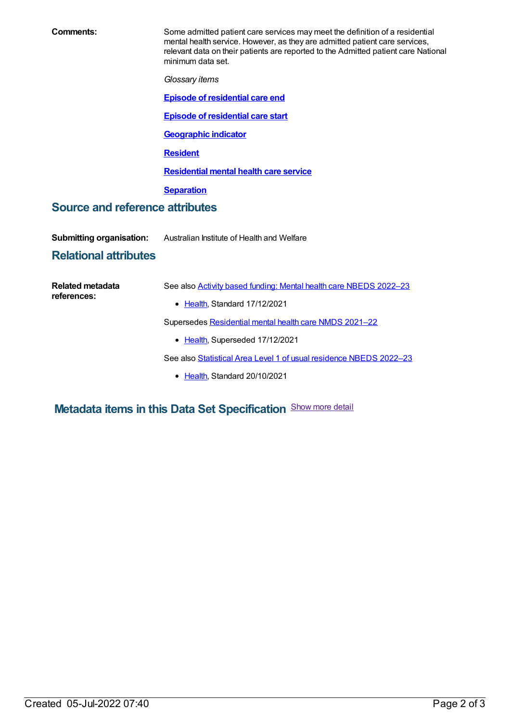| Comments:                                                       | Some admitted patient care services may meet the definition of a residential<br>mental health service. However, as they are admitted patient care services,<br>relevant data on their patients are reported to the Admitted patient care National<br>minimum data set. |  |  |
|-----------------------------------------------------------------|------------------------------------------------------------------------------------------------------------------------------------------------------------------------------------------------------------------------------------------------------------------------|--|--|
|                                                                 | Glossary items                                                                                                                                                                                                                                                         |  |  |
|                                                                 | <b>Episode of residential care end</b>                                                                                                                                                                                                                                 |  |  |
|                                                                 | <b>Episode of residential care start</b>                                                                                                                                                                                                                               |  |  |
|                                                                 | <b>Geographic indicator</b>                                                                                                                                                                                                                                            |  |  |
|                                                                 | <b>Resident</b>                                                                                                                                                                                                                                                        |  |  |
|                                                                 | <b>Residential mental health care service</b>                                                                                                                                                                                                                          |  |  |
|                                                                 | <b>Separation</b>                                                                                                                                                                                                                                                      |  |  |
| <b>Source and reference attributes</b>                          |                                                                                                                                                                                                                                                                        |  |  |
| <b>Submitting organisation:</b><br><b>Relational attributes</b> | Australian Institute of Health and Welfare                                                                                                                                                                                                                             |  |  |
|                                                                 |                                                                                                                                                                                                                                                                        |  |  |
| Related metadata<br>references:                                 | See also Activity based funding: Mental health care NBEDS 2022-23<br>• Health, Standard 17/12/2021                                                                                                                                                                     |  |  |

Supersedes [Residential](https://meteor.aihw.gov.au/content/727354) mental health care NMDS 2021–22

• [Health](https://meteor.aihw.gov.au/RegistrationAuthority/12), Superseded 17/12/2021

See also Statistical Area Level 1 of usual [residence](https://meteor.aihw.gov.au/content/742163) NBEDS 2022-23

• [Health](https://meteor.aihw.gov.au/RegistrationAuthority/12), Standard 20/10/2021

**Metadata items in this Data Set Specification** Show more detail